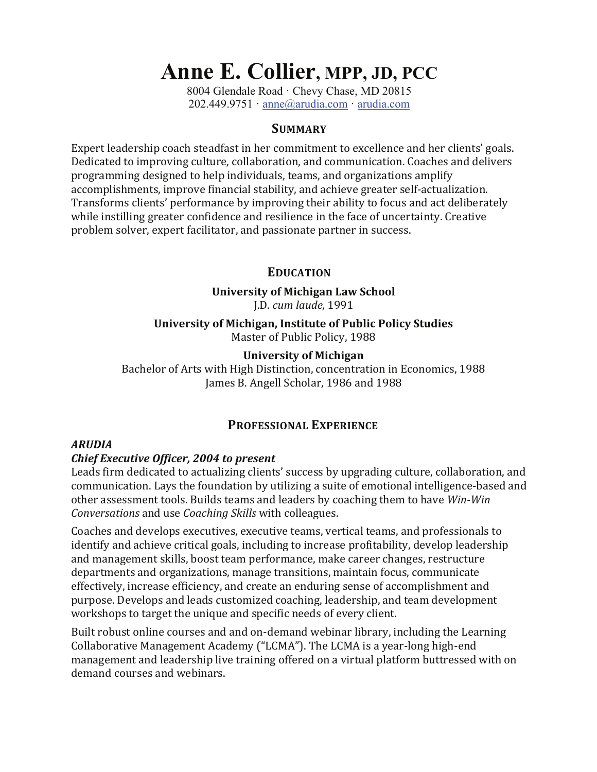# **Anne E. Collier, MPP, JD, PCC**

8004 Glendale Road · Chevy Chase, MD 20815 202.449.9751 · anne@arudia.com · arudia.com

#### **SUMMARY**

Expert leadership coach steadfast in her commitment to excellence and her clients' goals. Dedicated to improving culture, collaboration, and communication. Coaches and delivers programming designed to help individuals, teams, and organizations amplify accomplishments, improve financial stability, and achieve greater self-actualization. Transforms clients' performance by improving their ability to focus and act deliberately while instilling greater confidence and resilience in the face of uncertainty. Creative problem solver, expert facilitator, and passionate partner in success.

## **EDUCATION**

## **University of Michigan Law School**

J.D. *cum laude,* 1991

**University of Michigan, Institute of Public Policy Studies** Master of Public Policy, 1988

## **University of Michigan**

Bachelor of Arts with High Distinction, concentration in Economics, 1988 James B. Angell Scholar, 1986 and 1988

# **PROFESSIONAL EXPERIENCE**

#### *ARUDIA*

#### *Chief Executive Officer, 2004 to present*

Leads firm dedicated to actualizing clients' success by upgrading culture, collaboration, and communication. Lays the foundation by utilizing a suite of emotional intelligence-based and other assessment tools. Builds teams and leaders by coaching them to have *Win-Win Conversations* and use *Coaching Skills* with colleagues. 

Coaches and develops executives, executive teams, vertical teams, and professionals to identify and achieve critical goals, including to increase profitability, develop leadership and management skills, boost team performance, make career changes, restructure departments and organizations, manage transitions, maintain focus, communicate effectively, increase efficiency, and create an enduring sense of accomplishment and purpose. Develops and leads customized coaching, leadership, and team development workshops to target the unique and specific needs of every client.

Built robust online courses and and on-demand webinar library, including the Learning Collaborative Management Academy ("LCMA"). The LCMA is a year-long high-end management and leadership live training offered on a virtual platform buttressed with on demand courses and webinars.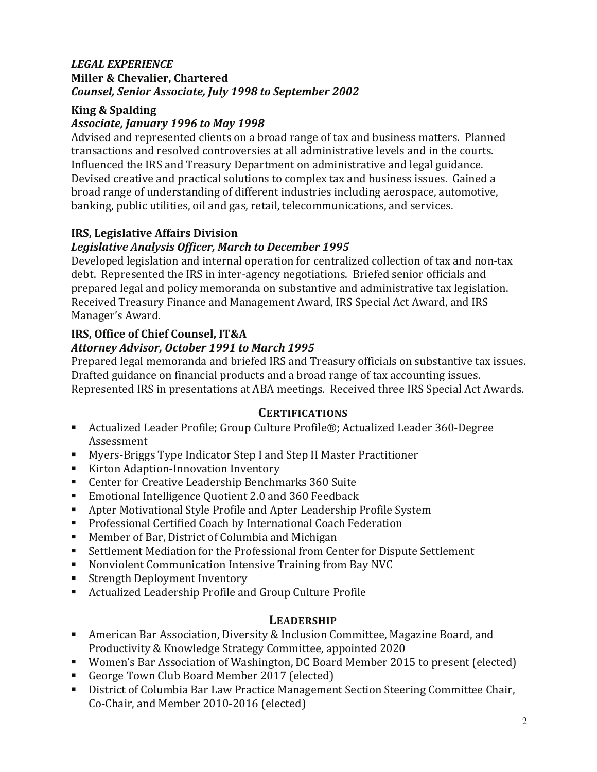#### *LEGAL EXPERIENCE* **Miller & Chevalier, Chartered** *Counsel, Senior Associate, July 1998 to September 2002*

# **King & Spalding**

# *Associate, January 1996 to May 1998*

Advised and represented clients on a broad range of tax and business matters. Planned transactions and resolved controversies at all administrative levels and in the courts. Influenced the IRS and Treasury Department on administrative and legal guidance. Devised creative and practical solutions to complex tax and business issues. Gained a broad range of understanding of different industries including aerospace, automotive, banking, public utilities, oil and gas, retail, telecommunications, and services.

# **IRS, Legislative Affairs Division**

# Legislative Analysis Officer, March to December 1995

Developed legislation and internal operation for centralized collection of tax and non-tax debt. Represented the IRS in inter-agency negotiations. Briefed senior officials and prepared legal and policy memoranda on substantive and administrative tax legislation. Received Treasury Finance and Management Award, IRS Special Act Award, and IRS Manager's Award.

## **IRS, Office of Chief Counsel, IT&A** *Attorney Advisor, October 1991 to March 1995*

Prepared legal memoranda and briefed IRS and Treasury officials on substantive tax issues. Drafted guidance on financial products and a broad range of tax accounting issues. Represented IRS in presentations at ABA meetings. Received three IRS Special Act Awards.

# **CERTIFICATIONS**

- Actualized Leader Profile; Group Culture Profile®; Actualized Leader 360-Degree Assessment
- Myers-Briggs Type Indicator Step I and Step II Master Practitioner
- Kirton Adaption-Innovation Inventory
- Center for Creative Leadership Benchmarks 360 Suite
- Emotional Intelligence Quotient 2.0 and 360 Feedback
- Apter Motivational Style Profile and Apter Leadership Profile System
- Professional Certified Coach by International Coach Federation
- Member of Bar, District of Columbia and Michigan
- Settlement Mediation for the Professional from Center for Dispute Settlement
- Nonviolent Communication Intensive Training from Bay NVC<br>■ Strength Deployment Inventory
- Strength Deployment Inventory<br>■ Actualized Leadershin Profile an
- Actualized Leadership Profile and Group Culture Profile

# **LEADERSHIP**

- American Bar Association, Diversity & Inclusion Committee, Magazine Board, and Productivity & Knowledge Strategy Committee, appointed 2020
- Women's Bar Association of Washington, DC Board Member 2015 to present (elected)
- George Town Club Board Member 2017 (elected)
- District of Columbia Bar Law Practice Management Section Steering Committee Chair, Co-Chair, and Member 2010-2016 (elected)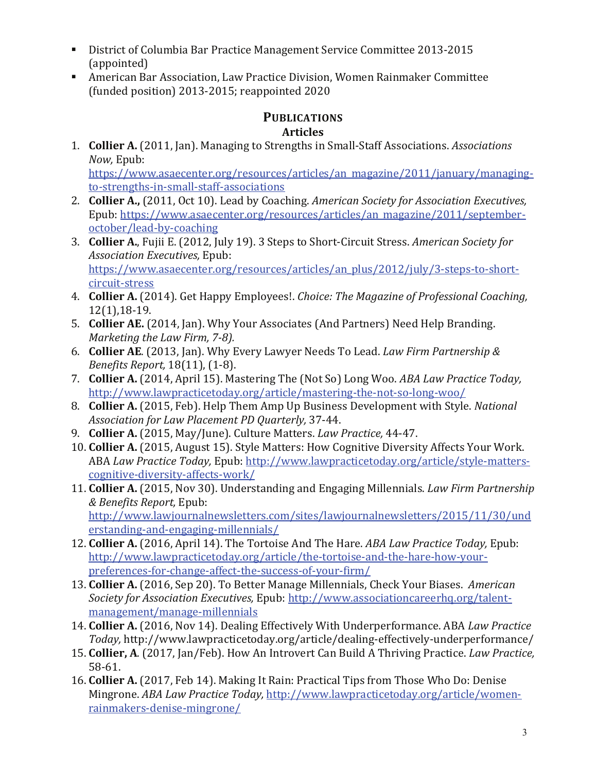- § District of Columbia Bar Practice Management Service Committee 2013-2015 (appointed)
- American Bar Association, Law Practice Division, Women Rainmaker Committee (funded position) 2013-2015; reappointed 2020

# **PUBLICATIONS**

# **Articles**

1. **Collier A.** (2011, Jan). Managing to Strengths in Small-Staff Associations. Associations *Now,* Epub: 

https://www.asaecenter.org/resources/articles/an\_magazine/2011/january/managingto-strengths-in-small-staff-associations

- 2. **Collier A.,** (2011, Oct 10). Lead by Coaching. *American Society for Association Executives,* Epub: https://www.asaecenter.org/resources/articles/an\_magazine/2011/septemberoctober/lead-by-coaching
- 3. **Collier A.**, Fujii E. (2012, July 19). 3 Steps to Short-Circuit Stress. American Society for *Association Executives,* Epub: https://www.asaecenter.org/resources/articles/an\_plus/2012/july/3-steps-to-shortcircuit-stress
- 4. **Collier A.** (2014). Get Happy Employees!. *Choice: The Magazine of Professional Coaching,* 12(1),18-19.
- 5. **Collier AE.** (2014, Jan). Why Your Associates (And Partners) Need Help Branding. *Marketing the Law Firm, 7-8).*
- 6. **Collier AE**. (2013, Jan). Why Every Lawyer Needs To Lead. *Law Firm Partnership & Benefits Report,* 18(11), (1-8).
- 7. **Collier A.** (2014, April 15). Mastering The (Not So) Long Woo. *ABA Law Practice Today*, http://www.lawpracticetoday.org/article/mastering-the-not-so-long-woo/
- 8. **Collier A.** (2015, Feb). Help Them Amp Up Business Development with Style. *National Association for Law Placement PD Quarterly,* 37-44.
- 9. **Collier A.** (2015, May/June). Culture Matters. *Law Practice*, 44-47.
- 10. **Collier A.** (2015, August 15). Style Matters: How Cognitive Diversity Affects Your Work. ABA *Law Practice Today,* Epub: http://www.lawpracticetoday.org/article/style-matterscognitive-diversity-affects-work/
- 11. **Collier A.** (2015, Nov 30). Understanding and Engaging Millennials. *Law Firm Partnership & Benefits Report,* Epub: http://www.lawjournalnewsletters.com/sites/lawjournalnewsletters/2015/11/30/und erstanding-and-engaging-millennials/
- 12. **Collier A.** (2016, April 14). The Tortoise And The Hare. ABA Law Practice Today, Epub: http://www.lawpracticetoday.org/article/the-tortoise-and-the-hare-how-yourpreferences-for-change-affect-the-success-of-your-firm/
- 13. **Collier A.** (2016, Sep 20). To Better Manage Millennials, Check Your Biases. American *Society for Association Executives, Epub: http://www.associationcareerhq.org/talent*management/manage-millennials
- 14. **Collier A.** (2016, Nov 14). Dealing Effectively With Underperformance. ABA *Law Practice Today,* http://www.lawpracticetoday.org/article/dealing-effectively-underperformance/
- 15. **Collier, A.** (2017, Jan/Feb). How An Introvert Can Build A Thriving Practice. *Law Practice*, 58-61.
- 16. **Collier A.** (2017, Feb 14). Making It Rain: Practical Tips from Those Who Do: Denise Mingrone. *ABA Law Practice Today,* http://www.lawpracticetoday.org/article/womenrainmakers-denise-mingrone/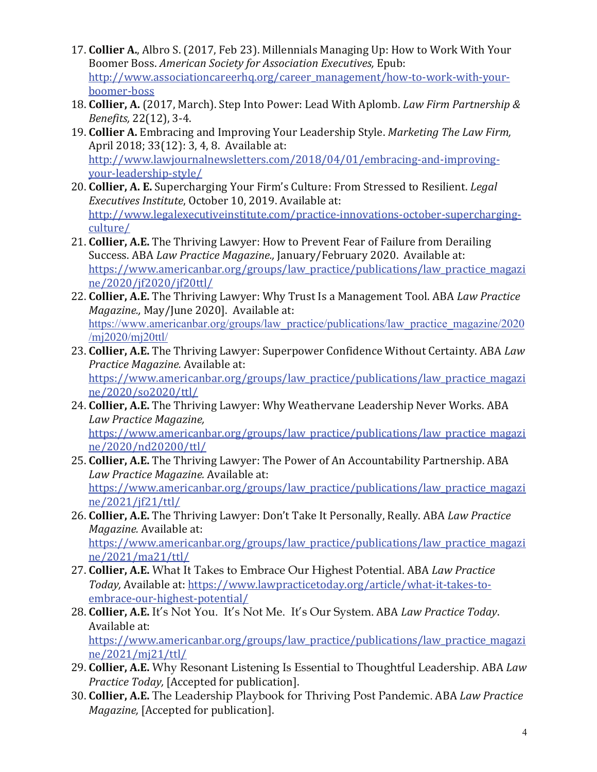- 17. **Collier A.**, Albro S. (2017, Feb 23). Millennials Managing Up: How to Work With Your Boomer Boss. *American Society for Association Executives*, Epub: http://www.associationcareerhq.org/career\_management/how-to-work-with-yourboomer-boss
- 18. **Collier, A.** (2017, March). Step Into Power: Lead With Aplomb. *Law Firm Partnership & Benefits,* 22(12), 3-4.
- 19. **Collier A.** Embracing and Improving Your Leadership Style. *Marketing The Law Firm,* April 2018; 33(12): 3, 4, 8. Available at: http://www.lawjournalnewsletters.com/2018/04/01/embracing-and-improvingyour-leadership-style/
- 20. **Collier, A. E.** Supercharging Your Firm's Culture: From Stressed to Resilient. *Legal Executives Institute*, October 10, 2019. Available at: http://www.legalexecutiveinstitute.com/practice-innovations-october-superchargingculture/
- 21. **Collier, A.E.** The Thriving Lawyer: How to Prevent Fear of Failure from Derailing Success. ABA *Law Practice Magazine.*, January/February 2020. Available at: https://www.americanbar.org/groups/law\_practice/publications/law\_practice\_magazi ne/2020/jf2020/jf20ttl/
- 22. **Collier, A.E.** The Thriving Lawyer: Why Trust Is a Management Tool. ABA *Law Practice Magazine., May/June 2020]. Available at:* https://www.americanbar.org/groups/law\_practice/publications/law\_practice\_magazine/2020 /mj2020/mj20ttl/
- 23. Collier, A.E. The Thriving Lawyer: Superpower Confidence Without Certainty. ABA *Law Practice Magazine.* Available at: https://www.americanbar.org/groups/law\_practice/publications/law\_practice\_magazi ne/2020/so2020/ttl/
- 24. **Collier, A.E.** The Thriving Lawyer: Why Weathervane Leadership Never Works. ABA *Law Practice Magazine,*

https://www.americanbar.org/groups/law\_practice/publications/law\_practice\_magazi ne/2020/nd20200/ttl/

- 25. **Collier, A.E.** The Thriving Lawyer: The Power of An Accountability Partnership. ABA Law Practice Magazine. Available at: https://www.americanbar.org/groups/law\_practice/publications/law\_practice\_magazi ne/2021/jf21/ttl/
- 26. **Collier, A.E.** The Thriving Lawyer: Don't Take It Personally, Really. ABA *Law Practice Magazine.* Available at: https://www.americanbar.org/groups/law\_practice/publications/law\_practice\_magazi ne/2021/ma21/ttl/
- 27. **Collier, A.E.** What It Takes to Embrace Our Highest Potential. ABA *Law Practice Today*, Available at: https://www.lawpracticetoday.org/article/what-it-takes-toembrace-our-highest-potential/
- 28. Collier, A.E. It's Not You. It's Not Me. It's Our System. ABA *Law Practice Today*. Available at: https://www.americanbar.org/groups/law\_practice/publications/law\_practice\_magazi ne/2021/mj21/ttl/
- 29. **Collier, A.E.** Why Resonant Listening Is Essential to Thoughtful Leadership. ABA *Law Practice Today,* [Accepted for publication].
- 30. **Collier, A.E.** The Leadership Playbook for Thriving Post Pandemic. ABA *Law Practice Magazine*, [Accepted for publication].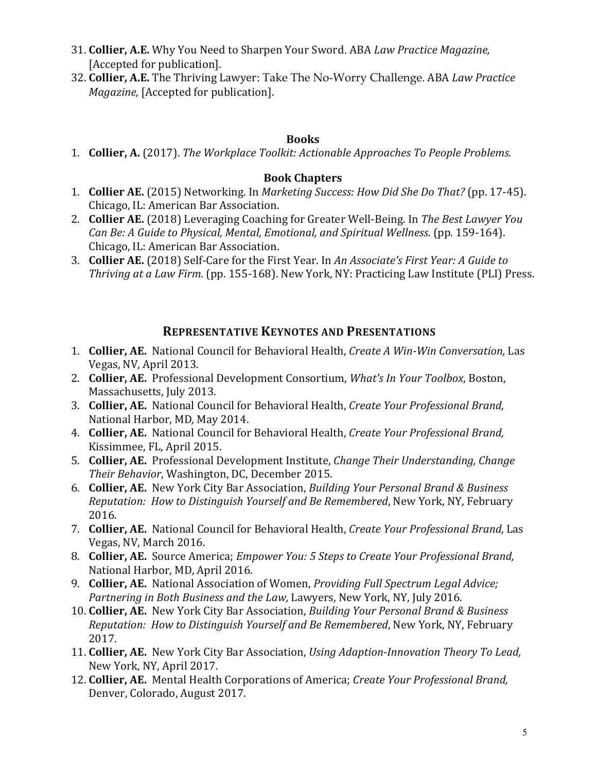- 31. **Collier, A.E.** Why You Need to Sharpen Your Sword. ABA *Law Practice Magazine*, [Accepted for publication].
- 32. Collier, A.E. The Thriving Lawyer: Take The No-Worry Challenge. ABA *Law Practice Magazine,* [Accepted for publication].

#### **Books**

1. **Collier, A.** (2017). *The Workplace Toolkit: Actionable Approaches To People Problems.* 

#### **Book Chapters**

- 1. **Collier AE.** (2015) Networking. In *Marketing Success: How Did She Do That?* (pp. 17-45). Chicago, IL: American Bar Association.
- 2. **Collier AE.** (2018) Leveraging Coaching for Greater Well-Being. In *The Best Lawyer You Can Be: A Guide to Physical, Mental, Emotional, and Spiritual Wellness.* (pp. 159-164). Chicago, IL: American Bar Association.
- 3. **Collier AE.** (2018) Self-Care for the First Year. In An Associate's First Year: A Guide to *Thriving at a Law Firm.* (pp. 155-168). New York, NY: Practicing Law Institute (PLI) Press.

# **REPRESENTATIVE KEYNOTES AND PRESENTATIONS**

- 1. **Collier, AE.** National Council for Behavioral Health, *Create A Win-Win Conversation*, Las Vegas, NV, April 2013.
- 2. **Collier, AE.** Professional Development Consortium, *What's In Your Toolbox*, Boston, Massachusetts, July 2013.
- 3. **Collier, AE.** National Council for Behavioral Health, *Create Your Professional Brand,* National Harbor, MD, May 2014.
- 4. **Collier, AE.** National Council for Behavioral Health, *Create Your Professional Brand,* Kissimmee, FL, April 2015.
- 5. **Collier, AE.** Professional Development Institute, *Change Their Understanding, Change* Their Behavior, Washington, DC, December 2015.
- 6. **Collier, AE.** New York City Bar Association, *Building Your Personal Brand & Business Reputation: How to Distinguish Yourself and Be Remembered*, New York, NY, February 2016.
- 7. **Collier, AE.** National Council for Behavioral Health, *Create Your Professional Brand*, Las Vegas, NV, March 2016.
- 8. **Collier, AE.** Source America; *Empower You: 5 Steps to Create Your Professional Brand,* National Harbor, MD, April 2016.
- 9. **Collier, AE.** National Association of Women, *Providing Full Spectrum Legal Advice; Partnering in Both Business and the Law, Lawyers, New York, NY, July 2016.*
- 10. **Collier, AE.** New York City Bar Association, *Building Your Personal Brand & Business Reputation: How to Distinguish Yourself and Be Remembered, New York, NY, February* 2017.
- 11. Collier, AE. New York City Bar Association, *Using Adaption-Innovation Theory To Lead,* New York, NY, April 2017.
- 12. **Collier, AE.** Mental Health Corporations of America; *Create Your Professional Brand,* Denver, Colorado, August 2017.